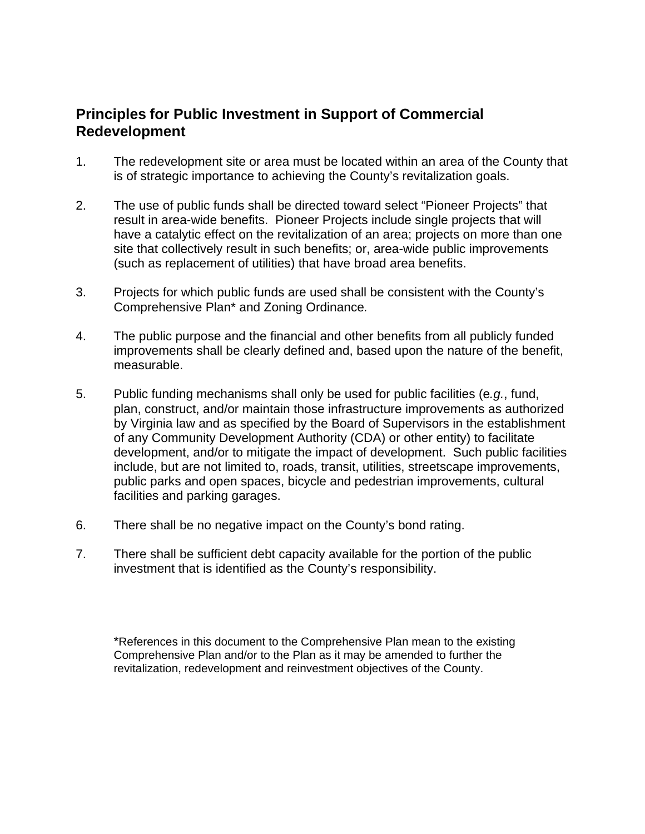# **Principles for Public Investment in Support of Commercial Redevelopment**

- 1. The redevelopment site or area must be located within an area of the County that is of strategic importance to achieving the County's revitalization goals.
- 2. The use of public funds shall be directed toward select "Pioneer Projects" that result in area-wide benefits. Pioneer Projects include single projects that will have a catalytic effect on the revitalization of an area; projects on more than one site that collectively result in such benefits; or, area-wide public improvements (such as replacement of utilities) that have broad area benefits.
- 3. Projects for which public funds are used shall be consistent with the County's Comprehensive Plan\* and Zoning Ordinance*.*
- 4. The public purpose and the financial and other benefits from all publicly funded improvements shall be clearly defined and, based upon the nature of the benefit, measurable.
- 5. Public funding mechanisms shall only be used for public facilities (e*.g.*, fund, plan, construct, and/or maintain those infrastructure improvements as authorized by Virginia law and as specified by the Board of Supervisors in the establishment of any Community Development Authority (CDA) or other entity) to facilitate development, and/or to mitigate the impact of development. Such public facilities include, but are not limited to, roads, transit, utilities, streetscape improvements, public parks and open spaces, bicycle and pedestrian improvements, cultural facilities and parking garages.
- 6. There shall be no negative impact on the County's bond rating.
- 7. There shall be sufficient debt capacity available for the portion of the public investment that is identified as the County's responsibility.

\*References in this document to the Comprehensive Plan mean to the existing Comprehensive Plan and/or to the Plan as it may be amended to further the revitalization, redevelopment and reinvestment objectives of the County.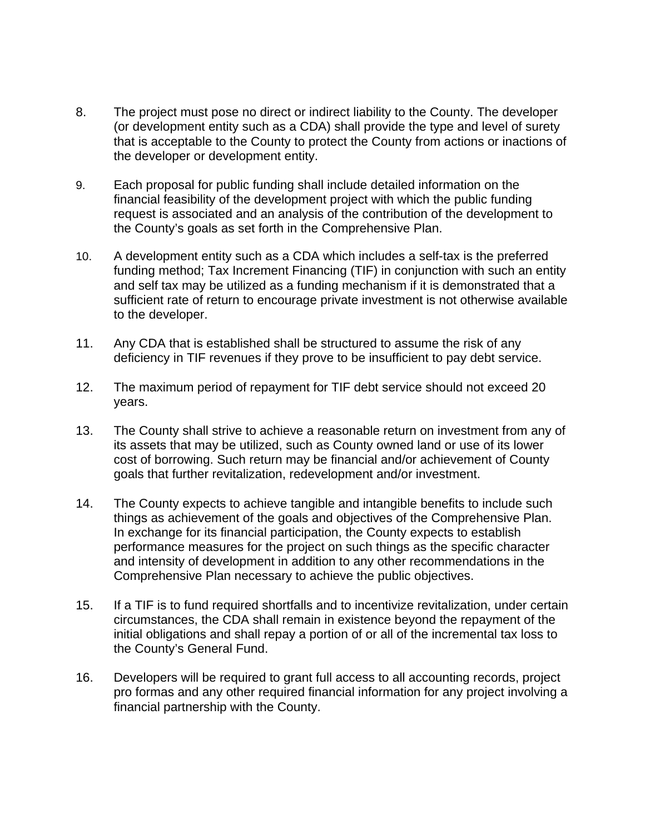- 8. The project must pose no direct or indirect liability to the County. The developer (or development entity such as a CDA) shall provide the type and level of surety that is acceptable to the County to protect the County from actions or inactions of the developer or development entity.
- 9. Each proposal for public funding shall include detailed information on the financial feasibility of the development project with which the public funding request is associated and an analysis of the contribution of the development to the County's goals as set forth in the Comprehensive Plan.
- 10. A development entity such as a CDA which includes a self-tax is the preferred funding method; Tax Increment Financing (TIF) in conjunction with such an entity and self tax may be utilized as a funding mechanism if it is demonstrated that a sufficient rate of return to encourage private investment is not otherwise available to the developer.
- 11. Any CDA that is established shall be structured to assume the risk of any deficiency in TIF revenues if they prove to be insufficient to pay debt service.
- 12. The maximum period of repayment for TIF debt service should not exceed 20 years.
- 13. The County shall strive to achieve a reasonable return on investment from any of its assets that may be utilized, such as County owned land or use of its lower cost of borrowing. Such return may be financial and/or achievement of County goals that further revitalization, redevelopment and/or investment.
- 14. The County expects to achieve tangible and intangible benefits to include such things as achievement of the goals and objectives of the Comprehensive Plan. In exchange for its financial participation, the County expects to establish performance measures for the project on such things as the specific character and intensity of development in addition to any other recommendations in the Comprehensive Plan necessary to achieve the public objectives.
- 15. If a TIF is to fund required shortfalls and to incentivize revitalization, under certain circumstances, the CDA shall remain in existence beyond the repayment of the initial obligations and shall repay a portion of or all of the incremental tax loss to the County's General Fund.
- 16. Developers will be required to grant full access to all accounting records, project pro formas and any other required financial information for any project involving a financial partnership with the County.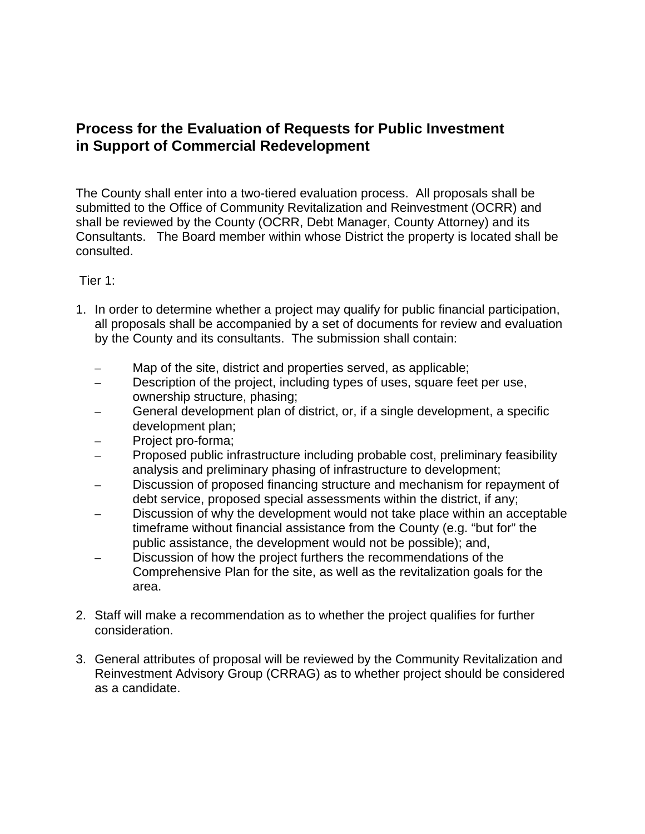## **Process for the Evaluation of Requests for Public Investment in Support of Commercial Redevelopment**

The County shall enter into a two-tiered evaluation process. All proposals shall be submitted to the Office of Community Revitalization and Reinvestment (OCRR) and shall be reviewed by the County (OCRR, Debt Manager, County Attorney) and its Consultants. The Board member within whose District the property is located shall be consulted.

#### Tier 1:

- 1. In order to determine whether a project may qualify for public financial participation, all proposals shall be accompanied by a set of documents for review and evaluation by the County and its consultants. The submission shall contain:
	- Map of the site, district and properties served, as applicable;
	- Description of the project, including types of uses, square feet per use, ownership structure, phasing;
	- General development plan of district, or, if a single development, a specific development plan;
	- Project pro-forma;
	- Proposed public infrastructure including probable cost, preliminary feasibility analysis and preliminary phasing of infrastructure to development;
	- Discussion of proposed financing structure and mechanism for repayment of debt service, proposed special assessments within the district, if any;
	- Discussion of why the development would not take place within an acceptable timeframe without financial assistance from the County (e.g. "but for" the public assistance, the development would not be possible); and,
	- Discussion of how the project furthers the recommendations of the Comprehensive Plan for the site, as well as the revitalization goals for the area.
- 2. Staff will make a recommendation as to whether the project qualifies for further consideration.
- 3. General attributes of proposal will be reviewed by the Community Revitalization and Reinvestment Advisory Group (CRRAG) as to whether project should be considered as a candidate.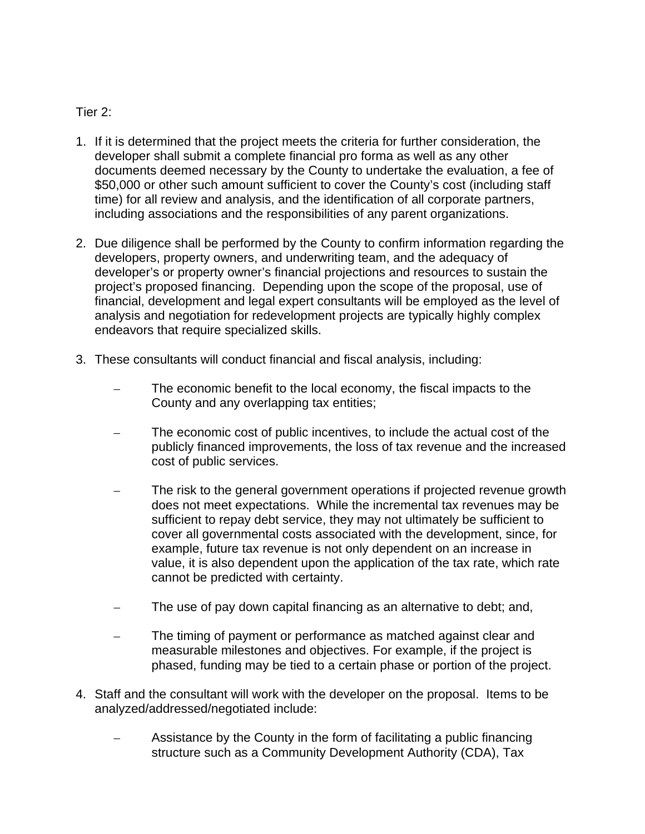### Tier 2:

- 1. If it is determined that the project meets the criteria for further consideration, the developer shall submit a complete financial pro forma as well as any other documents deemed necessary by the County to undertake the evaluation, a fee of \$50,000 or other such amount sufficient to cover the County's cost (including staff time) for all review and analysis, and the identification of all corporate partners, including associations and the responsibilities of any parent organizations.
- 2. Due diligence shall be performed by the County to confirm information regarding the developers, property owners, and underwriting team, and the adequacy of developer's or property owner's financial projections and resources to sustain the project's proposed financing. Depending upon the scope of the proposal, use of financial, development and legal expert consultants will be employed as the level of analysis and negotiation for redevelopment projects are typically highly complex endeavors that require specialized skills.
- 3. These consultants will conduct financial and fiscal analysis, including:
	- The economic benefit to the local economy, the fiscal impacts to the County and any overlapping tax entities;
	- The economic cost of public incentives, to include the actual cost of the publicly financed improvements, the loss of tax revenue and the increased cost of public services.
	- The risk to the general government operations if projected revenue growth does not meet expectations. While the incremental tax revenues may be sufficient to repay debt service, they may not ultimately be sufficient to cover all governmental costs associated with the development, since, for example, future tax revenue is not only dependent on an increase in value, it is also dependent upon the application of the tax rate, which rate cannot be predicted with certainty.
	- The use of pay down capital financing as an alternative to debt; and,
	- The timing of payment or performance as matched against clear and measurable milestones and objectives. For example, if the project is phased, funding may be tied to a certain phase or portion of the project.
- 4. Staff and the consultant will work with the developer on the proposal. Items to be analyzed/addressed/negotiated include:
	- Assistance by the County in the form of facilitating a public financing structure such as a Community Development Authority (CDA), Tax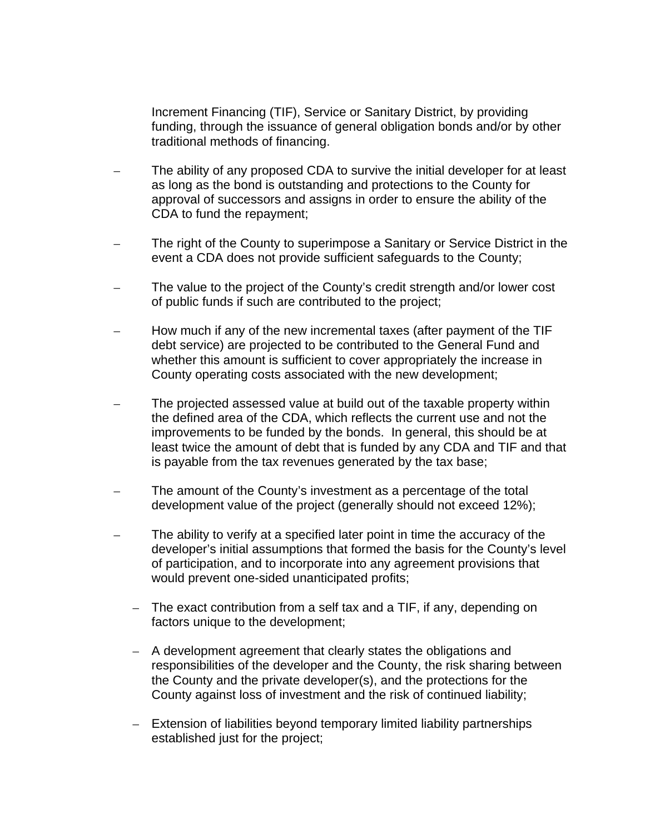Increment Financing (TIF), Service or Sanitary District, by providing funding, through the issuance of general obligation bonds and/or by other traditional methods of financing.

- The ability of any proposed CDA to survive the initial developer for at least as long as the bond is outstanding and protections to the County for approval of successors and assigns in order to ensure the ability of the CDA to fund the repayment;
- The right of the County to superimpose a Sanitary or Service District in the event a CDA does not provide sufficient safeguards to the County;
- The value to the project of the County's credit strength and/or lower cost of public funds if such are contributed to the project;
- How much if any of the new incremental taxes (after payment of the TIF debt service) are projected to be contributed to the General Fund and whether this amount is sufficient to cover appropriately the increase in County operating costs associated with the new development;
- The projected assessed value at build out of the taxable property within the defined area of the CDA, which reflects the current use and not the improvements to be funded by the bonds. In general, this should be at least twice the amount of debt that is funded by any CDA and TIF and that is payable from the tax revenues generated by the tax base;
- The amount of the County's investment as a percentage of the total development value of the project (generally should not exceed 12%);
- The ability to verify at a specified later point in time the accuracy of the developer's initial assumptions that formed the basis for the County's level of participation, and to incorporate into any agreement provisions that would prevent one-sided unanticipated profits;
	- The exact contribution from a self tax and a TIF, if any, depending on factors unique to the development;
	- A development agreement that clearly states the obligations and responsibilities of the developer and the County, the risk sharing between the County and the private developer(s), and the protections for the County against loss of investment and the risk of continued liability;
	- Extension of liabilities beyond temporary limited liability partnerships established just for the project;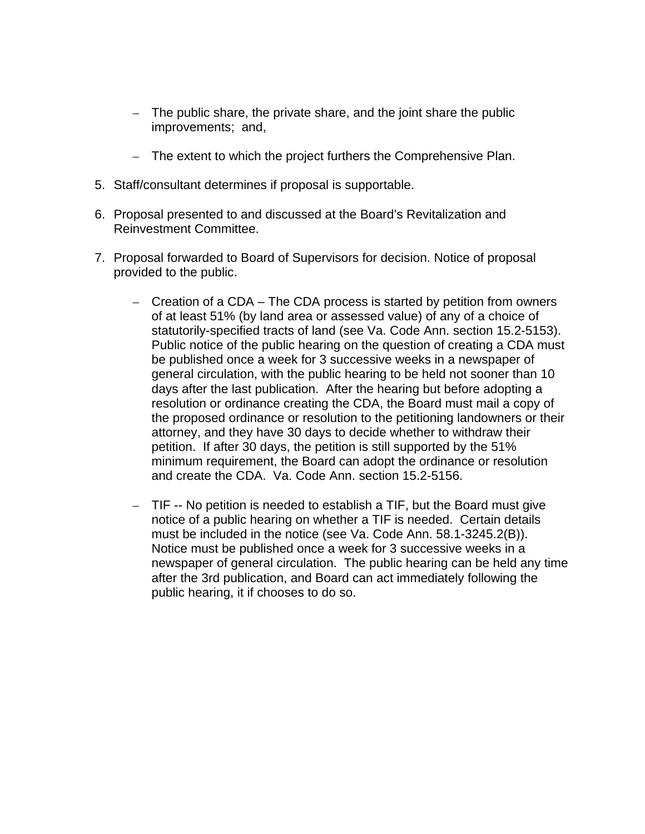- The public share, the private share, and the joint share the public improvements; and,
- The extent to which the project furthers the Comprehensive Plan.
- 5. Staff/consultant determines if proposal is supportable.
- 6. Proposal presented to and discussed at the Board's Revitalization and Reinvestment Committee.
- 7. Proposal forwarded to Board of Supervisors for decision. Notice of proposal provided to the public.
	- Creation of a CDA The CDA process is started by petition from owners of at least 51% (by land area or assessed value) of any of a choice of statutorily-specified tracts of land (see Va. Code Ann. section 15.2-5153). Public notice of the public hearing on the question of creating a CDA must be published once a week for 3 successive weeks in a newspaper of general circulation, with the public hearing to be held not sooner than 10 days after the last publication. After the hearing but before adopting a resolution or ordinance creating the CDA, the Board must mail a copy of the proposed ordinance or resolution to the petitioning landowners or their attorney, and they have 30 days to decide whether to withdraw their petition. If after 30 days, the petition is still supported by the 51% minimum requirement, the Board can adopt the ordinance or resolution and create the CDA. Va. Code Ann. section 15.2-5156.
	- TIF -- No petition is needed to establish a TIF, but the Board must give notice of a public hearing on whether a TIF is needed. Certain details must be included in the notice (see Va. Code Ann. 58.1-3245.2(B)). Notice must be published once a week for 3 successive weeks in a newspaper of general circulation. The public hearing can be held any time after the 3rd publication, and Board can act immediately following the public hearing, it if chooses to do so.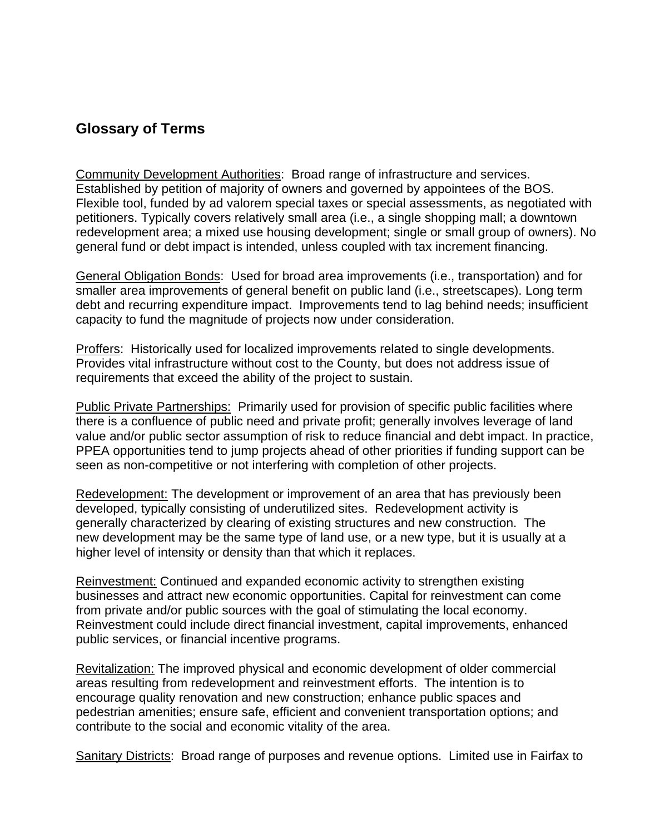### **Glossary of Terms**

Community Development Authorities:Broad range of infrastructure and services. Established by petition of majority of owners and governed by appointees of the BOS. Flexible tool, funded by ad valorem special taxes or special assessments, as negotiated with petitioners. Typically covers relatively small area (i.e., a single shopping mall; a downtown redevelopment area; a mixed use housing development; single or small group of owners). No general fund or debt impact is intended, unless coupled with tax increment financing.

General Obligation Bonds: Used for broad area improvements (i.e., transportation) and for smaller area improvements of general benefit on public land (i.e., streetscapes). Long term debt and recurring expenditure impact. Improvements tend to lag behind needs; insufficient capacity to fund the magnitude of projects now under consideration.

Proffers:Historically used for localized improvements related to single developments. Provides vital infrastructure without cost to the County, but does not address issue of requirements that exceed the ability of the project to sustain.

Public Private Partnerships:Primarily used for provision of specific public facilities where there is a confluence of public need and private profit; generally involves leverage of land value and/or public sector assumption of risk to reduce financial and debt impact. In practice, PPEA opportunities tend to jump projects ahead of other priorities if funding support can be seen as non-competitive or not interfering with completion of other projects.

Redevelopment: The development or improvement of an area that has previously been developed, typically consisting of underutilized sites. Redevelopment activity is generally characterized by clearing of existing structures and new construction. The new development may be the same type of land use, or a new type, but it is usually at a higher level of intensity or density than that which it replaces.

Reinvestment: Continued and expanded economic activity to strengthen existing businesses and attract new economic opportunities. Capital for reinvestment can come from private and/or public sources with the goal of stimulating the local economy. Reinvestment could include direct financial investment, capital improvements, enhanced public services, or financial incentive programs.

Revitalization: The improved physical and economic development of older commercial areas resulting from redevelopment and reinvestment efforts. The intention is to encourage quality renovation and new construction; enhance public spaces and pedestrian amenities; ensure safe, efficient and convenient transportation options; and contribute to the social and economic vitality of the area.

Sanitary Districts:Broad range of purposes and revenue options. Limited use in Fairfax to